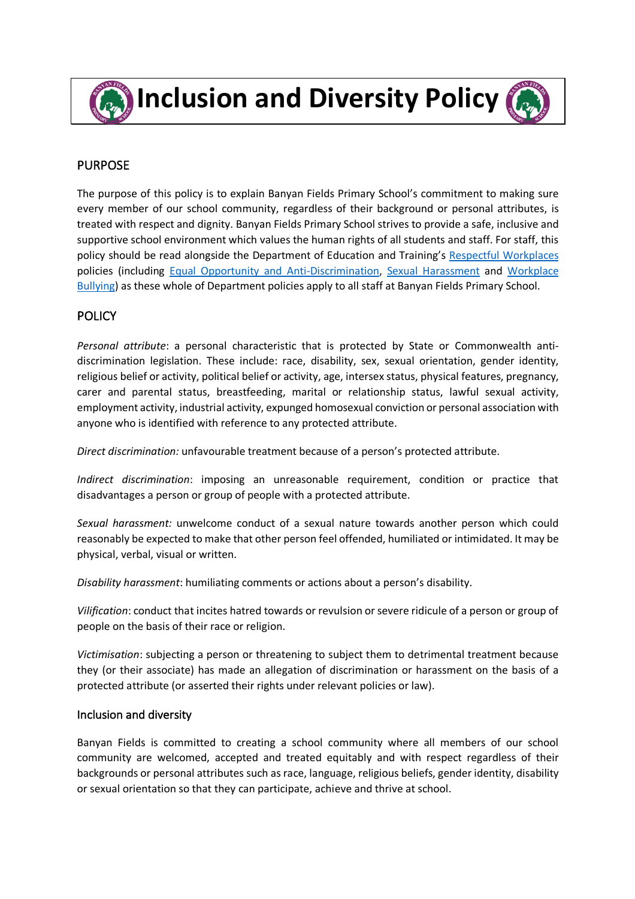

**Inclusion and Diversity Policy** 

### PURPOSE

The purpose of this policy is to explain Banyan Fields Primary School's commitment to making sure every member of our school community, regardless of their background or personal attributes, is treated with respect and dignity. Banyan Fields Primary School strives to provide a safe, inclusive and supportive school environment which values the human rights of all students and staff. For staff, this policy should be read alongside the Department of Education and Training's Respectful Workplaces policies (including Equal Opportunity and Anti-Discrimination, Sexual Harassment and Workplace Bullying) as these whole of Department policies apply to all staff at Banyan Fields Primary School.

# **POLICY**

*Personal attribute*: a personal characteristic that is protected by State or Commonwealth antidiscrimination legislation. These include: race, disability, sex, sexual orientation, gender identity, religious belief or activity, political belief or activity, age, intersex status, physical features, pregnancy, carer and parental status, breastfeeding, marital or relationship status, lawful sexual activity, employment activity, industrial activity, expunged homosexual conviction or personal association with anyone who is identified with reference to any protected attribute.

*Direct discrimination:* unfavourable treatment because of a person's protected attribute.

*Indirect discrimination*: imposing an unreasonable requirement, condition or practice that disadvantages a person or group of people with a protected attribute.

*Sexual harassment:* unwelcome conduct of a sexual nature towards another person which could reasonably be expected to make that other person feel offended, humiliated or intimidated. It may be physical, verbal, visual or written.

*Disability harassment*: humiliating comments or actions about a person's disability.

*Vilification*: conduct that incites hatred towards or revulsion or severe ridicule of a person or group of people on the basis of their race or religion.

*Victimisation*: subjecting a person or threatening to subject them to detrimental treatment because they (or their associate) has made an allegation of discrimination or harassment on the basis of a protected attribute (or asserted their rights under relevant policies or law).

#### Inclusion and diversity

Banyan Fields is committed to creating a school community where all members of our school community are welcomed, accepted and treated equitably and with respect regardless of their backgrounds or personal attributes such as race, language, religious beliefs, gender identity, disability or sexual orientation so that they can participate, achieve and thrive at school.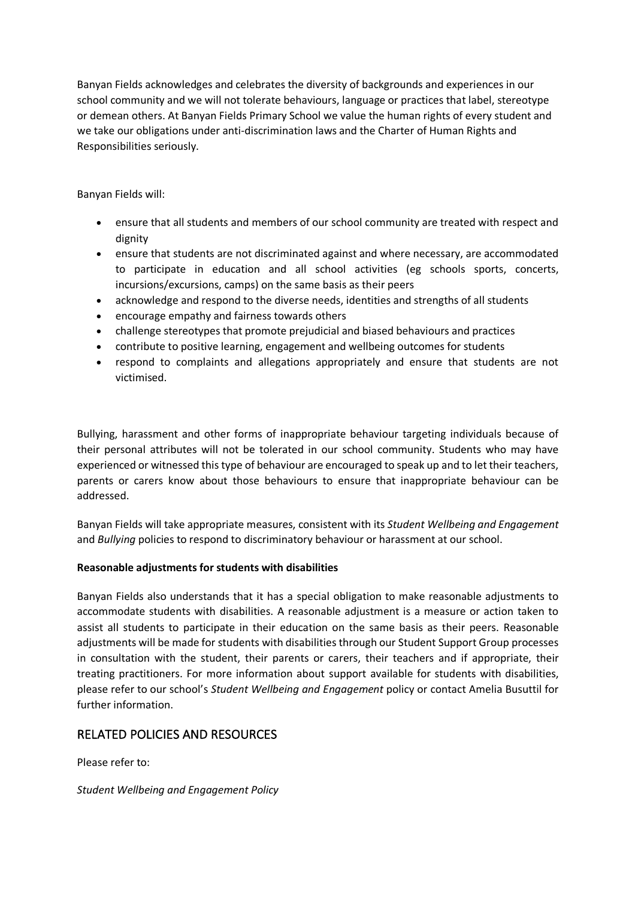Banyan Fields acknowledges and celebrates the diversity of backgrounds and experiences in our school community and we will not tolerate behaviours, language or practices that label, stereotype or demean others. At Banyan Fields Primary School we value the human rights of every student and we take our obligations under anti-discrimination laws and the Charter of Human Rights and Responsibilities seriously.

Banyan Fields will:

- ensure that all students and members of our school community are treated with respect and dignity
- ensure that students are not discriminated against and where necessary, are accommodated to participate in education and all school activities (eg schools sports, concerts, incursions/excursions, camps) on the same basis as their peers
- acknowledge and respond to the diverse needs, identities and strengths of all students
- encourage empathy and fairness towards others
- challenge stereotypes that promote prejudicial and biased behaviours and practices
- contribute to positive learning, engagement and wellbeing outcomes for students
- respond to complaints and allegations appropriately and ensure that students are not victimised.

Bullying, harassment and other forms of inappropriate behaviour targeting individuals because of their personal attributes will not be tolerated in our school community. Students who may have experienced or witnessed this type of behaviour are encouraged to speak up and to let their teachers, parents or carers know about those behaviours to ensure that inappropriate behaviour can be addressed.

Banyan Fields will take appropriate measures, consistent with its *Student Wellbeing and Engagement* and *Bullying* policies to respond to discriminatory behaviour or harassment at our school.

#### **Reasonable adjustments for students with disabilities**

Banyan Fields also understands that it has a special obligation to make reasonable adjustments to accommodate students with disabilities. A reasonable adjustment is a measure or action taken to assist all students to participate in their education on the same basis as their peers. Reasonable adjustments will be made for students with disabilities through our Student Support Group processes in consultation with the student, their parents or carers, their teachers and if appropriate, their treating practitioners. For more information about support available for students with disabilities, please refer to our school's *Student Wellbeing and Engagement* policy or contact Amelia Busuttil for further information.

# RELATED POLICIES AND RESOURCES

Please refer to:

#### *Student Wellbeing and Engagement Policy*